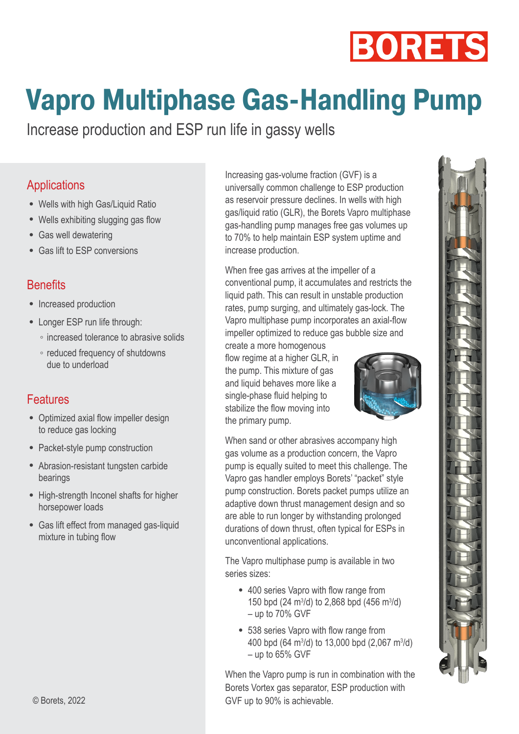# **BORETS**

# **Vapro Multiphase Gas-Handling Pump**

Increase production and ESP run life in gassy wells

#### **Applications**

- Wells with high Gas/Liquid Ratio
- Wells exhibiting slugging gas flow
- Gas well dewatering
- Gas lift to ESP conversions

#### **Benefits**

- Increased production
- Longer ESP run life through:
	- increased tolerance to abrasive solids
	- reduced frequency of shutdowns due to underload

#### **Features**

- Optimized axial flow impeller design to reduce gas locking
- Packet-style pump construction
- Abrasion-resistant tungsten carbide bearings
- High-strength Inconel shafts for higher horsepower loads
- Gas lift effect from managed gas-liquid mixture in tubing flow

Increasing gas-volume fraction (GVF) is a universally common challenge to ESP production as reservoir pressure declines. In wells with high gas/liquid ratio (GLR), the Borets Vapro multiphase gas-handling pump manages free gas volumes up to 70% to help maintain ESP system uptime and increase production.

When free gas arrives at the impeller of a conventional pump, it accumulates and restricts the liquid path. This can result in unstable production rates, pump surging, and ultimately gas-lock. The Vapro multiphase pump incorporates an axial-flow impeller optimized to reduce gas bubble size and

create a more homogenous flow regime at a higher GLR, in the pump. This mixture of gas and liquid behaves more like a single-phase fluid helping to stabilize the flow moving into the primary pump.



When sand or other abrasives accompany high gas volume as a production concern, the Vapro pump is equally suited to meet this challenge. The Vapro gas handler employs Borets' "packet" style pump construction. Borets packet pumps utilize an adaptive down thrust management design and so are able to run longer by withstanding prolonged durations of down thrust, often typical for ESPs in unconventional applications.

The Vapro multiphase pump is available in two series sizes:

- 400 series Vapro with flow range from 150 bpd (24 m<sup>3</sup>/d) to 2,868 bpd (456 m<sup>3</sup>/d) – up to 70% GVF
- 538 series Vapro with flow range from 400 bpd (64 m<sup>3</sup>/d) to 13,000 bpd (2,067 m<sup>3</sup>/d) – up to 65% GVF

When the Vapro pump is run in combination with the Borets Vortex gas separator, ESP production with GVF up to 90% is achievable.